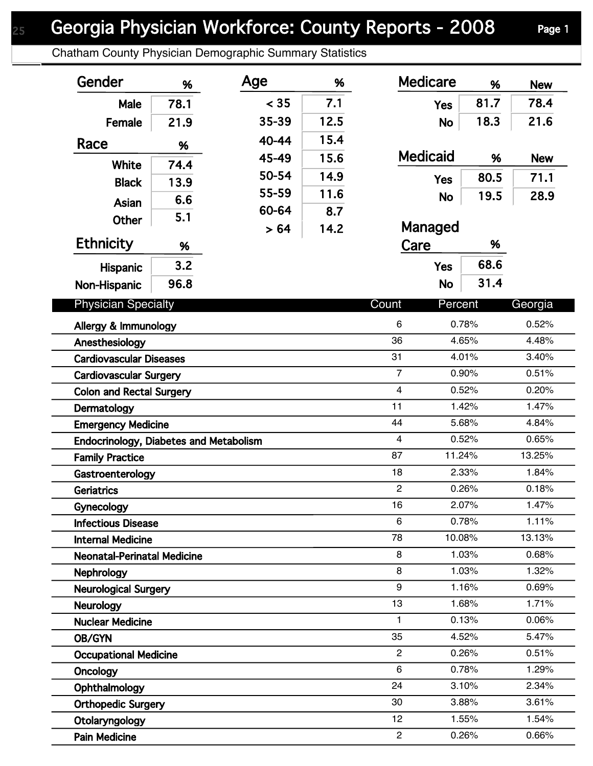## Georgia Physician Workforce: County Reports - 2008 Page 1

Chatham County Physician Demographic Summary Statistics

| Gender                                           | %    | Age   | %    | <b>Medicare</b>     | %              | <b>New</b>     |
|--------------------------------------------------|------|-------|------|---------------------|----------------|----------------|
| Male                                             | 78.1 | < 35  | 7.1  | <b>Yes</b>          | 81.7           | 78.4           |
| Female                                           | 21.9 | 35-39 | 12.5 | <b>No</b>           | 18.3           | 21.6           |
| Race                                             | %    | 40-44 | 15.4 |                     |                |                |
|                                                  |      | 45-49 | 15.6 | <b>Medicaid</b>     | %              | <b>New</b>     |
| <b>White</b>                                     | 74.4 | 50-54 | 14.9 | <b>Yes</b>          | 80.5           | 71.1           |
| <b>Black</b>                                     | 13.9 | 55-59 | 11.6 | <b>No</b>           | 19.5           | 28.9           |
| Asian                                            | 6.6  | 60-64 | 8.7  |                     |                |                |
| <b>Other</b>                                     | 5.1  | > 64  | 14.2 | Managed             |                |                |
| <b>Ethnicity</b>                                 | %    |       |      | Care                | %              |                |
| <b>Hispanic</b>                                  | 3.2  |       |      | <b>Yes</b>          | 68.6           |                |
| Non-Hispanic                                     | 96.8 |       |      | <b>No</b>           | 31.4           |                |
| <b>Physician Specialty</b>                       |      |       |      | Count<br>Percent    |                | Georgia        |
|                                                  |      |       |      | 6                   | 0.78%          | 0.52%          |
| Allergy & Immunology                             |      |       |      | 36                  | 4.65%          | 4.48%          |
| Anesthesiology<br><b>Cardiovascular Diseases</b> |      |       |      | 31                  | 4.01%          | 3.40%          |
| <b>Cardiovascular Surgery</b>                    |      |       |      | $\overline{7}$      | 0.90%          | 0.51%          |
| <b>Colon and Rectal Surgery</b>                  |      |       |      | 4                   | 0.52%          | 0.20%          |
| Dermatology                                      |      |       |      | 11                  | 1.42%          | 1.47%          |
| <b>Emergency Medicine</b>                        |      |       |      | 44                  | 5.68%          | 4.84%          |
| Endocrinology, Diabetes and Metabolism           |      |       |      | $\overline{4}$      | 0.52%          | 0.65%          |
| <b>Family Practice</b>                           |      |       |      | 87<br>11.24%        |                | 13.25%         |
| Gastroenterology                                 |      |       |      | 18                  | 2.33%          | 1.84%          |
| <b>Geriatrics</b>                                |      |       |      | $\overline{2}$      | 0.26%          | 0.18%          |
| Gynecology                                       |      |       |      | 16                  | 2.07%          | 1.47%          |
| <b>Infectious Disease</b>                        |      |       |      | 6                   | 0.78%          | 1.11%          |
| <b>Internal Medicine</b>                         |      |       |      | 78<br>10.08%        |                | 13.13%         |
| <b>Neonatal-Perinatal Medicine</b>               |      |       |      | 8                   | 1.03%          | 0.68%          |
| Nephrology                                       |      |       |      | 8                   | 1.03%          | 1.32%          |
| <b>Neurological Surgery</b>                      |      |       |      | 9                   | 1.16%          | 0.69%          |
| <b>Neurology</b>                                 |      |       |      | 13                  | 1.68%          | 1.71%          |
| <b>Nuclear Medicine</b>                          |      |       |      | 1.                  | 0.13%          | 0.06%          |
| OB/GYN                                           |      |       |      | 35                  | 4.52%          | 5.47%          |
| <b>Occupational Medicine</b>                     |      |       |      | $\overline{2}$<br>6 | 0.26%          | 0.51%          |
| Oncology                                         |      |       |      | 24                  | 0.78%<br>3.10% | 1.29%<br>2.34% |
| Ophthalmology                                    |      |       |      | 30                  | 3.88%          | 3.61%          |
| <b>Orthopedic Surgery</b>                        |      |       |      | 12                  | 1.55%          | 1.54%          |
| Otolaryngology<br><b>Pain Medicine</b>           |      |       |      | $\overline{2}$      | 0.26%          | 0.66%          |
|                                                  |      |       |      |                     |                |                |